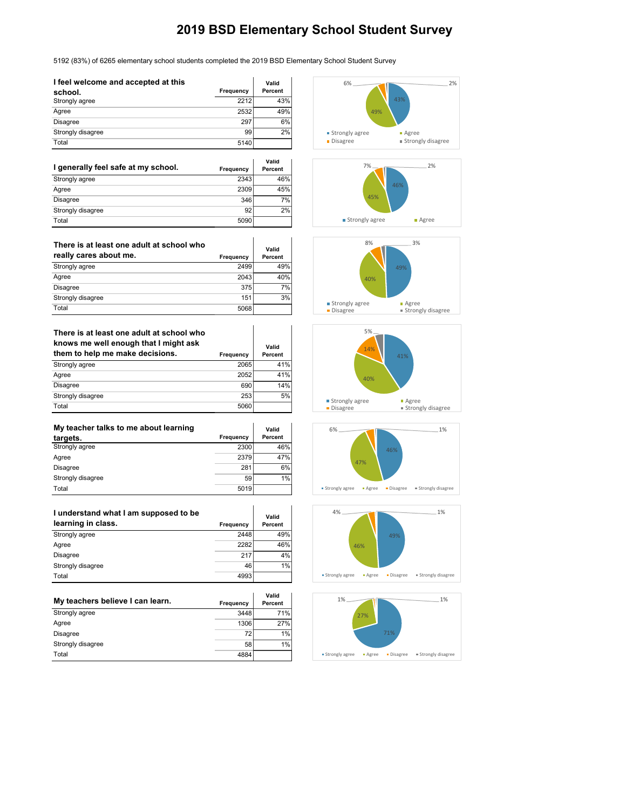5192 (83%) of 6265 elementary school students completed the 2019 BSD Elementary School Student Survey

 $\overline{1}$ 

| I feel welcome and accepted at this |           | Valid   |
|-------------------------------------|-----------|---------|
| school.                             | Frequency | Percent |
| Strongly agree                      | 2212      | 43%     |
| Agree                               | 2532      | 49%     |
| <b>Disagree</b>                     | 297       | 6%      |
| Strongly disagree                   | 99        | 2%      |
| Total                               | 5140      |         |

| I generally feel safe at my school. | Frequency | Valid<br>Percent |
|-------------------------------------|-----------|------------------|
| Strongly agree                      | 2343      | 46%              |
| Agree                               | 2309      | 45%              |
| <b>Disagree</b>                     | 346       | 7%               |
| Strongly disagree                   | 92        | 2%               |
| Total                               | 5090      |                  |

| There is at least one adult at school who<br>really cares about me. | Frequency | Valid<br>Percent |
|---------------------------------------------------------------------|-----------|------------------|
| Strongly agree                                                      | 2499      | 49%              |
| Agree                                                               | 2043      | 40%              |
| <b>Disagree</b>                                                     | 375       | 7%               |
| Strongly disagree                                                   | 151       | 3%               |
| Total                                                               | 5068      |                  |

| There is at least one adult at school who<br>knows me well enough that I might ask<br>them to help me make decisions. |           | Valid   |
|-----------------------------------------------------------------------------------------------------------------------|-----------|---------|
|                                                                                                                       | Frequency | Percent |
| Strongly agree                                                                                                        | 2065      | 41%     |
| Agree                                                                                                                 | 2052      | 41%     |
| <b>Disagree</b>                                                                                                       | 690       | 14%     |
| Strongly disagree                                                                                                     | 253       | 5%      |
| Total                                                                                                                 | 5060      |         |

| My teacher talks to me about learning |           | Valid   |
|---------------------------------------|-----------|---------|
| targets.                              | Frequency | Percent |
| Strongly agree                        | 2300      | 46%     |
| Agree                                 | 2379      | 47%     |
| <b>Disagree</b>                       | 281       | 6%      |
| Strongly disagree                     | 59        | 1%      |
| Total                                 | 5019      |         |

| I understand what I am supposed to be<br>learning in class. | Frequency | Valid<br>Percent |
|-------------------------------------------------------------|-----------|------------------|
| Strongly agree                                              | 2448      | 49%              |
| Agree                                                       | 2282      | 46%              |
| Disagree                                                    | 217       | 4%               |
| Strongly disagree                                           | 46        | 1%               |
| Total                                                       | 4993      |                  |

| My teachers believe I can learn. | Frequency | Valid<br>Percent |
|----------------------------------|-----------|------------------|
| Strongly agree                   | 3448      | 71%              |
| Agree                            | 1306      | 27%              |
| <b>Disagree</b>                  | 72        | 1%               |
| Strongly disagree                | 58        | 1%               |
| Total                            | 4884      |                  |













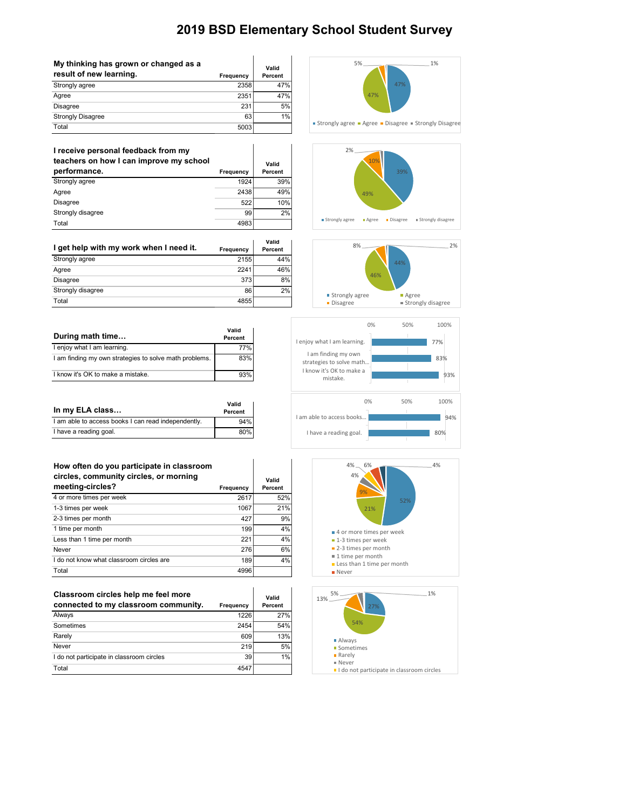| My thinking has grown or changed as a |           | Valid   |
|---------------------------------------|-----------|---------|
| result of new learning.               | Frequency | Percent |
| Strongly agree                        | 2358      | 47%     |
| Agree                                 | 2351      | 47%     |
| <b>Disagree</b>                       | 231       | 5%      |
| <b>Strongly Disagree</b>              | 63        | 1%      |
| Total                                 | 5003      |         |

| I receive personal feedback from my<br>teachers on how I can improve my school |           | Valid   |
|--------------------------------------------------------------------------------|-----------|---------|
| performance.                                                                   | Frequency | Percent |
| Strongly agree                                                                 | 1924      | 39%     |
| Agree                                                                          | 2438      | 49%     |
| <b>Disagree</b>                                                                | 522       | 10%     |
| Strongly disagree                                                              | 99        | 2%      |
| Total                                                                          | 4983      |         |

|                                         |           | Valid   |
|-----------------------------------------|-----------|---------|
| I get help with my work when I need it. | Frequency | Percent |
| Strongly agree                          | 2155      | 44%     |
| Agree                                   | 2241      | 46%     |
| <b>Disagree</b>                         | 373       | 8%      |
| Strongly disagree                       | 86        | 2%      |
| Total                                   | 4855      |         |

| During math time                                       | Valid<br>Percent |
|--------------------------------------------------------|------------------|
| I enjoy what I am learning.                            | 77%              |
| I am finding my own strategies to solve math problems. | 83%              |
| I know it's OK to make a mistake.                      | 93%              |

| In my ELA class                                     | Valid<br>Percent |
|-----------------------------------------------------|------------------|
| I am able to access books I can read independently. | 94%              |
| I have a reading goal.                              | 80%              |

### **How often do you participate in classroom**

| circles, community circles, or morning<br>meeting-circles? | Frequency | Valid<br>Percent |
|------------------------------------------------------------|-----------|------------------|
| 4 or more times per week                                   | 2617      | 52%              |
| 1-3 times per week                                         | 1067      | 21%              |
| 2-3 times per month                                        | 427       | 9%               |
| 1 time per month                                           | 199       | 4%               |
| Less than 1 time per month                                 | 221       | 4%               |
| Never                                                      | 276       | 6%               |
| I do not know what classroom circles are                   | 189       | 4%               |
| Total                                                      | 4996      |                  |

| Classroom circles help me feel more<br>connected to my classroom community. | Frequency | Valid<br>Percent |
|-----------------------------------------------------------------------------|-----------|------------------|
| Always                                                                      | 1226      | 27%              |
| Sometimes                                                                   | 2454      | 54%              |
| Rarely                                                                      | 609       | 13%              |
| Never                                                                       | 219       | 5%               |
| I do not participate in classroom circles                                   | 39        | 1%               |
| Total                                                                       | 4547      |                  |











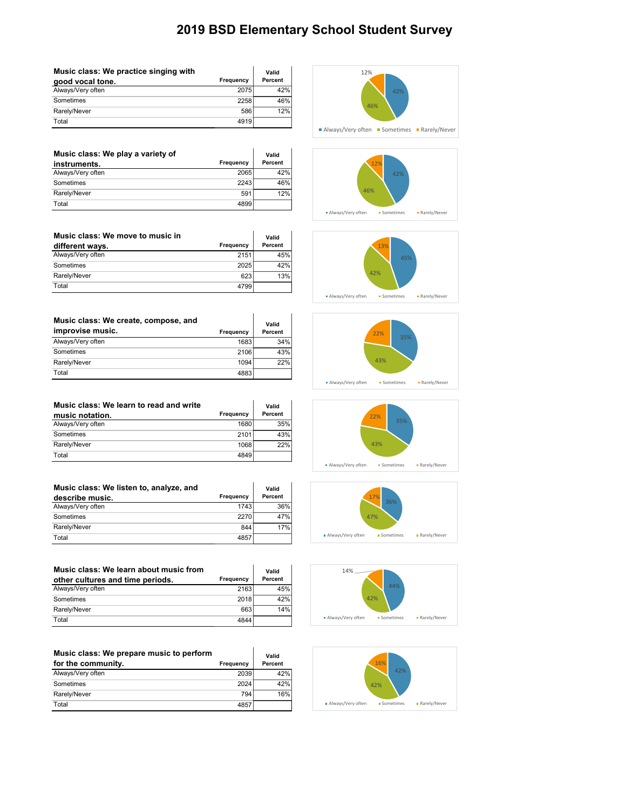| Music class: We practice singing with |           | Valid   |
|---------------------------------------|-----------|---------|
| good vocal tone.                      | Frequency | Percent |
| Always/Very often                     | 2075      | 42%     |
| Sometimes                             | 2258      | 46%     |
| Rarely/Never                          | 586       | 12%     |
| Total                                 | 4919      |         |

| Music class: We play a variety of |           | Valid   |
|-----------------------------------|-----------|---------|
| instruments.                      | Frequency | Percent |
| Always/Very often                 | 2065      | 42%     |
| Sometimes                         | 2243      | 46%     |
| Rarely/Never                      | 591       | 12%     |
| Total                             | 4899      |         |

| Music class: We move to music in |           | Valid   |
|----------------------------------|-----------|---------|
| different ways.                  | Frequency | Percent |
| Always/Very often                | 2151      | 45%     |
| Sometimes                        | 2025      | 42%     |
| Rarely/Never                     | 623       | 13%     |
| Total                            | 4799      |         |

| Music class: We create, compose, and |           | Valid   |
|--------------------------------------|-----------|---------|
| improvise music.                     | Frequency | Percent |
| Always/Very often                    | 1683      | 34%     |
| Sometimes                            | 2106      | 43%     |
| Rarely/Never                         | 1094      | 22%     |
| Total                                | 4883      |         |

| Music class: We learn to read and write |           | Valid   |
|-----------------------------------------|-----------|---------|
| music notation.                         | Frequency | Percent |
| Always/Very often                       | 1680      | 35%     |
| Sometimes                               | 2101      | 43%     |
| Rarely/Never                            | 1068      | 22%     |
| Total                                   | 4849      |         |

| Music class: We listen to, analyze, and |           | Valid   |
|-----------------------------------------|-----------|---------|
| describe music.                         | Frequency | Percent |
| Always/Very often                       | 1743      | 36%     |
| Sometimes                               | 2270      | 47%     |
| Rarely/Never                            | 844       | 17%     |
| Total                                   | 4857      |         |

 $\ddot{\phantom{a}}$ 

| Music class: We learn about music from |                  | Valid   |
|----------------------------------------|------------------|---------|
| other cultures and time periods.       | <b>Frequency</b> | Percent |
| Always/Very often                      | 2163             | 45%     |
| Sometimes                              | 2018             | 42%     |
| Rarely/Never                           | 663              | 14%     |
| Total                                  | 4844             |         |

| Music class: We prepare music to perform |           | Valid   |
|------------------------------------------|-----------|---------|
| for the community.                       | Frequency | Percent |
| Always/Very often                        | 2039      | 42%     |
| Sometimes                                | 2024      | 42%     |
| Rarely/Never                             | 794       | 16%     |
| Total                                    | 485       |         |















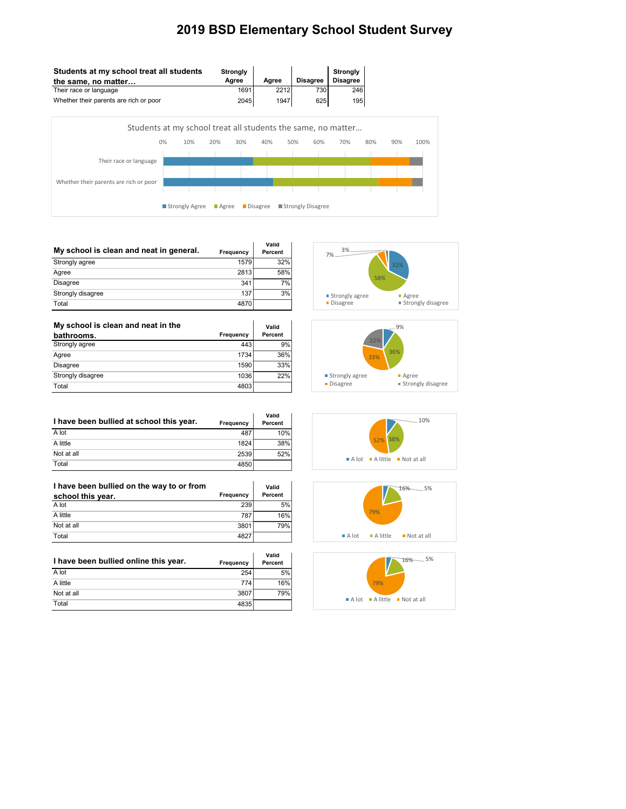÷.



| My school is clean and neat in general. | Frequency | Valid<br>Percent |
|-----------------------------------------|-----------|------------------|
| Strongly agree                          | 1579      | 32%              |
| Agree                                   | 2813      | 58%              |
| <b>Disagree</b>                         | 341       | 7%               |
| Strongly disagree                       | 137       | 3%               |
| Total                                   | 4870      |                  |

| My school is clean and neat in the |           | Valid   |
|------------------------------------|-----------|---------|
| bathrooms.                         | Frequency | Percent |
| Strongly agree                     | 443       | 9%      |
| Agree                              | 1734      | 36%     |
| <b>Disagree</b>                    | 1590      | 33%     |
| Strongly disagree                  | 1036      | 22%     |
| Total                              | 4803      |         |





| I have been bullied at school this year. | Frequency | Valid<br>Percent |
|------------------------------------------|-----------|------------------|
| A lot                                    | 487       | 10%              |
| A little                                 | 1824      | 38%              |
| Not at all                               | 2539      | 52%              |
| Total                                    | 4850      |                  |

| I have been bullied on the way to or from |           | Valid   |
|-------------------------------------------|-----------|---------|
| school this year.                         | Frequency | Percent |
| A lot                                     | 239       | 5%      |
| A little                                  | 787       | 16%     |
| Not at all                                | 3801      | 79%     |
| Total                                     | 4827      |         |

|                                       |           | Valid   |
|---------------------------------------|-----------|---------|
| I have been bullied online this year. | Frequency | Percent |
| A lot                                 | 254       | 5%      |
| A little                              | 774       | 16%     |
| Not at all                            | 3807      | 79%     |
| Total                                 | 4835      |         |





 $A$  lot  $A$  little  $B$  Not at all